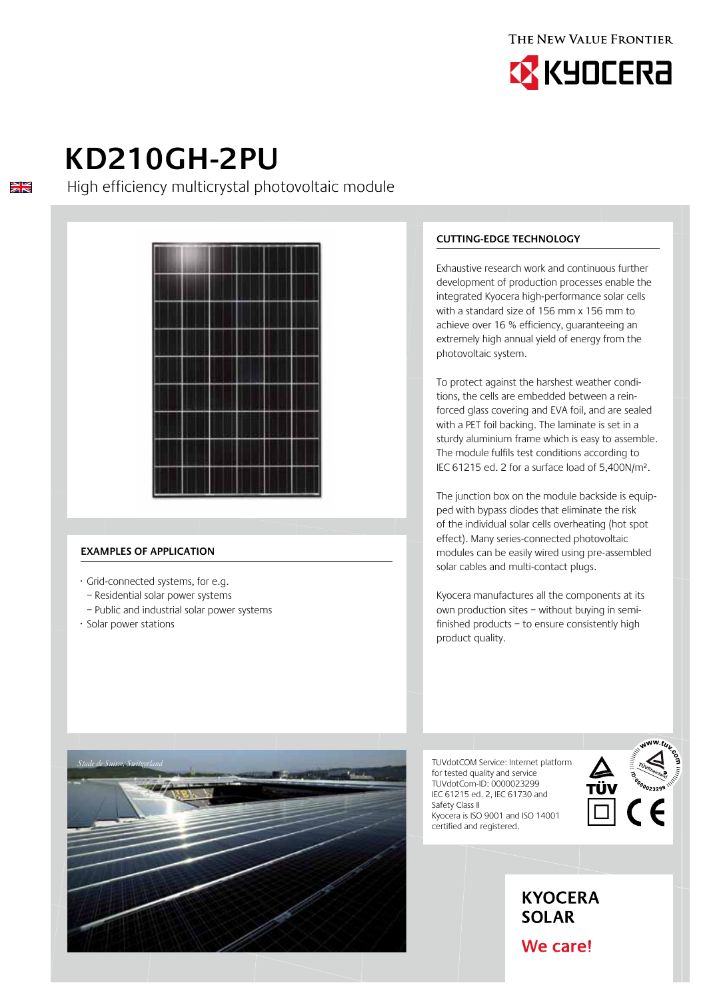



# **KD210GH-2PU**

 $\frac{N}{N}$ 

High efficiency multicrystal photovoltaic module



## **Examples of application**

- · Grid-connected systems, for e.g.
- Residential solar power systems
- Public and industrial solar power systems
- · Solar power stations

*Stade de Suisse, Switzerland*

## **Cutting-edge technology**

Exhaustive research work and continuous further development of production processes enable the integrated Kyocera high-performance solar cells with a standard size of 156 mm x 156 mm to achieve over 16 % efficiency, guaranteeing an extremely high annual yield of energy from the photovoltaic system.

To protect against the harshest weather conditions, the cells are embedded between a reinforced glass covering and EVA foil, and are sealed with a PET foil backing. The laminate is set in a sturdy aluminium frame which is easy to assemble. The module fulfils test conditions according to IEC 61215 ed. 2 for a surface load of 5,400N/m².

The junction box on the module backside is equipped with bypass diodes that eliminate the risk of the individual solar cells overheating (hot spot effect). Many series-connected photovoltaic modules can be easily wired using pre-assembled solar cables and multi-contact plugs.

Kyocera manufactures all the components at its own production sites – without buying in semifinished products – to ensure consistently high product quality.

TUVdotCOM Service: Internet platform for tested quality and service TUVdotCom-ID: 0000023299 IEC 61215 ed. 2, IEC 61730 and Safety Class II Kyocera is ISO 9001 and ISO 14001 certified and registered.





We care!